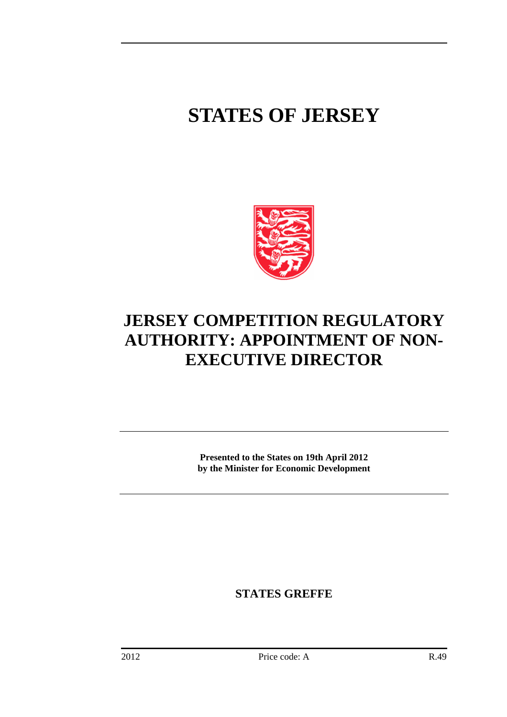## **STATES OF JERSEY**



## **JERSEY COMPETITION REGULATORY AUTHORITY: APPOINTMENT OF NON-EXECUTIVE DIRECTOR**

**Presented to the States on 19th April 2012 by the Minister for Economic Development** 

**STATES GREFFE**